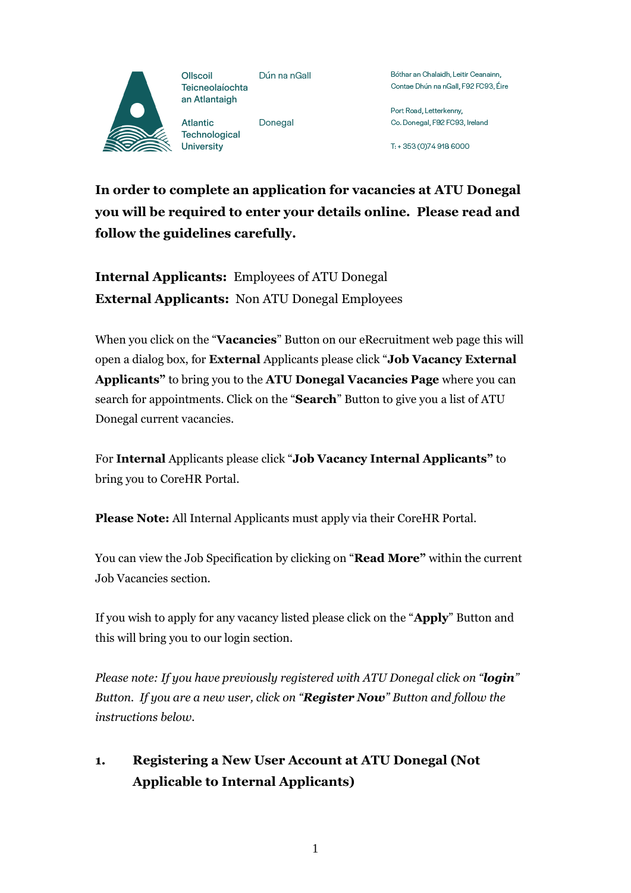

Dún na nGall Teicneolaíochta

Donegal Technological

Bóthar an Chalaidh, Leitir Ceanainn. Contae Dhún na nGall, F92 FC93, Éire

Port Road, Letterkenny, Co. Donegal, F92 FC93, Ireland

T: +353 (0)749186000

**In order to complete an application for vacancies at ATU Donegal you will be required to enter your details online. Please read and follow the guidelines carefully.**

**Internal Applicants:** Employees of ATU Donegal **External Applicants:** Non ATU Donegal Employees

When you click on the "**Vacancies**" Button on our eRecruitment web page this will open a dialog box, for **External** Applicants please click "**Job Vacancy External Applicants"** to bring you to the **ATU Donegal Vacancies Page** where you can search for appointments. Click on the "**Search**" Button to give you a list of ATU Donegal current vacancies.

For **Internal** Applicants please click "**Job Vacancy Internal Applicants"** to bring you to CoreHR Portal.

**Please Note:** All Internal Applicants must apply via their CoreHR Portal.

You can view the Job Specification by clicking on "**Read More"** within the current Job Vacancies section.

If you wish to apply for any vacancy listed please click on the "**Apply**" Button and this will bring you to our login section.

*Please note: If you have previously registered with ATU Donegal click on "login" Button. If you are a new user, click on "Register Now" Button and follow the instructions below.*

# **1. Registering a New User Account at ATU Donegal (Not Applicable to Internal Applicants)**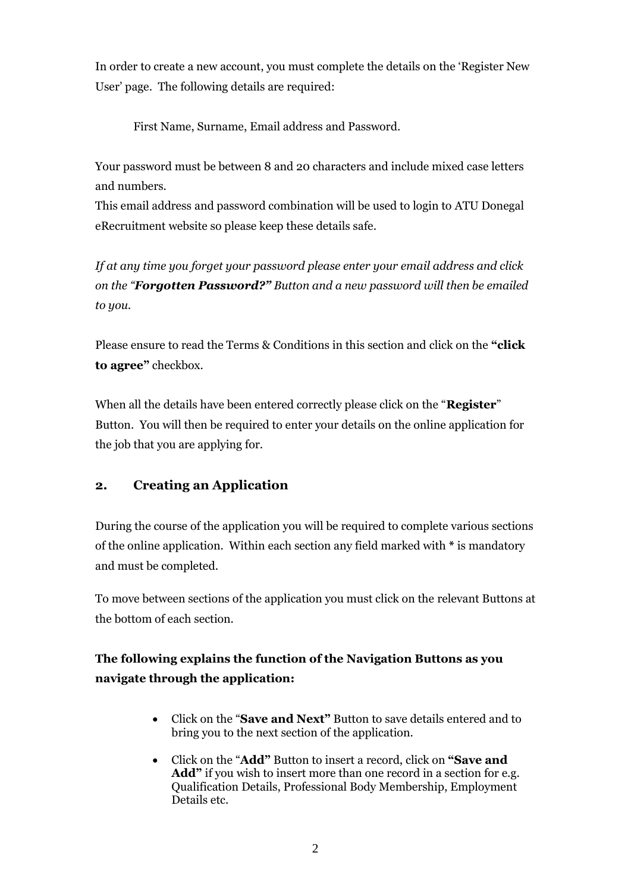In order to create a new account, you must complete the details on the 'Register New User' page. The following details are required:

First Name, Surname, Email address and Password.

Your password must be between 8 and 20 characters and include mixed case letters and numbers.

This email address and password combination will be used to login to ATU Donegal eRecruitment website so please keep these details safe.

*If at any time you forget your password please enter your email address and click on the "Forgotten Password?" Button and a new password will then be emailed to you.*

Please ensure to read the Terms & Conditions in this section and click on the **"click to agree"** checkbox.

When all the details have been entered correctly please click on the "**Register**" Button. You will then be required to enter your details on the online application for the job that you are applying for.

#### **2. Creating an Application**

During the course of the application you will be required to complete various sections of the online application. Within each section any field marked with **\*** is mandatory and must be completed.

To move between sections of the application you must click on the relevant Buttons at the bottom of each section.

## **The following explains the function of the Navigation Buttons as you navigate through the application:**

- Click on the "**Save and Next"** Button to save details entered and to bring you to the next section of the application.
- Click on the "**Add"** Button to insert a record, click on **"Save and**  Add<sup>\*</sup> if you wish to insert more than one record in a section for e.g. Qualification Details, Professional Body Membership, Employment Details etc.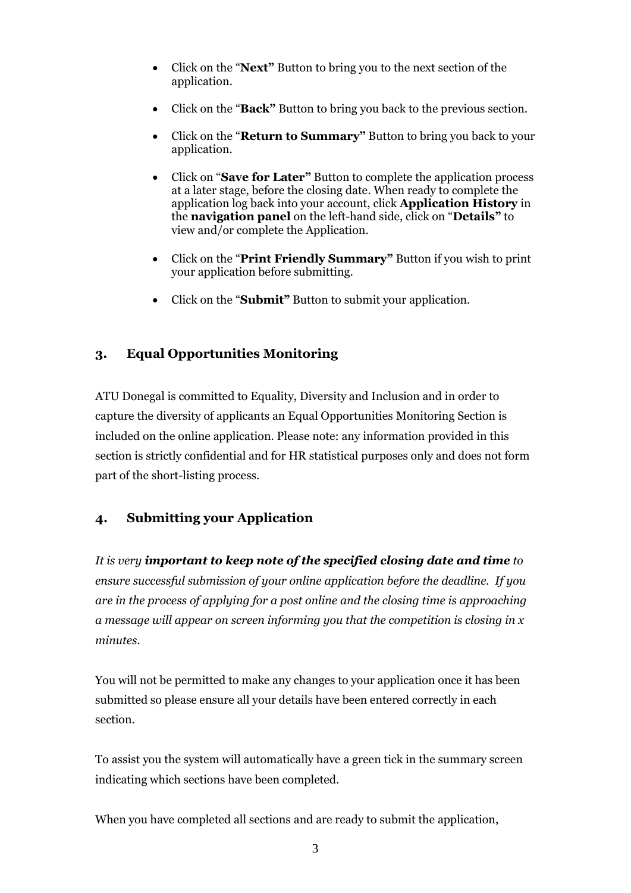- Click on the "**Next"** Button to bring you to the next section of the application.
- Click on the "**Back"** Button to bring you back to the previous section.
- Click on the "**Return to Summary"** Button to bring you back to your application.
- Click on "**Save for Later"** Button to complete the application process at a later stage, before the closing date. When ready to complete the application log back into your account, click **Application History** in the **navigation panel** on the left-hand side, click on "**Details"** to view and/or complete the Application.
- Click on the "**Print Friendly Summary"** Button if you wish to print your application before submitting.
- Click on the "**Submit"** Button to submit your application.

## **3. Equal Opportunities Monitoring**

ATU Donegal is committed to Equality, Diversity and Inclusion and in order to capture the diversity of applicants an Equal Opportunities Monitoring Section is included on the online application. Please note: any information provided in this section is strictly confidential and for HR statistical purposes only and does not form part of the short-listing process.

#### **4. Submitting your Application**

*It is very important to keep note of the specified closing date and time to ensure successful submission of your online application before the deadline. If you are in the process of applying for a post online and the closing time is approaching a message will appear on screen informing you that the competition is closing in x minutes.*

You will not be permitted to make any changes to your application once it has been submitted so please ensure all your details have been entered correctly in each section.

To assist you the system will automatically have a green tick in the summary screen indicating which sections have been completed.

When you have completed all sections and are ready to submit the application,